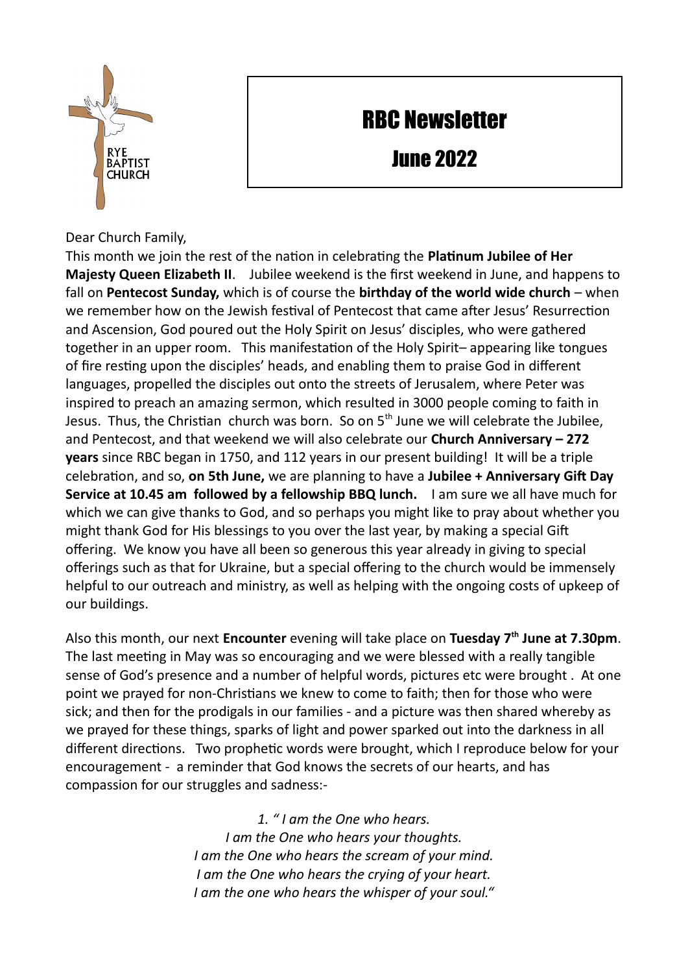## RBC Newsletter

June 2022

Dear Church Family,

This month we join the rest of the nation in celebrating the **Platinum Jubilee of Her Majesty Queen Elizabeth II**. Jubilee weekend is the first weekend in June, and happens to fall on **Pentecost Sunday,** which is of course the **birthday of the world wide church** – when we remember how on the Jewish festival of Pentecost that came after Jesus' Resurrection and Ascension, God poured out the Holy Spirit on Jesus' disciples, who were gathered together in an upper room. This manifestation of the Holy Spirit– appearing like tongues of fire resting upon the disciples' heads, and enabling them to praise God in different languages, propelled the disciples out onto the streets of Jerusalem, where Peter was inspired to preach an amazing sermon, which resulted in 3000 people coming to faith in Jesus. Thus, the Christian church was born. So on  $5<sup>th</sup>$  June we will celebrate the Jubilee, and Pentecost, and that weekend we will also celebrate our **Church Anniversary – 272 years** since RBC began in 1750, and 112 years in our present building! It will be a triple celebration, and so, **on 5th June,** we are planning to have a **Jubilee + Anniversary Gift Day Service at 10.45 am followed by a fellowship BBQ lunch.** I am sure we all have much for which we can give thanks to God, and so perhaps you might like to pray about whether you might thank God for His blessings to you over the last year, by making a special Gift offering. We know you have all been so generous this year already in giving to special offerings such as that for Ukraine, but a special offering to the church would be immensely helpful to our outreach and ministry, as well as helping with the ongoing costs of upkeep of our buildings.

Also this month, our next **Encounter** evening will take place on **Tuesday 7th June at 7.30pm**. The last meeting in May was so encouraging and we were blessed with a really tangible sense of God's presence and a number of helpful words, pictures etc were brought . At one point we prayed for non-Christians we knew to come to faith; then for those who were sick; and then for the prodigals in our families - and a picture was then shared whereby as we prayed for these things, sparks of light and power sparked out into the darkness in all different directions. Two prophetic words were brought, which I reproduce below for your encouragement - a reminder that God knows the secrets of our hearts, and has compassion for our struggles and sadness:-

> *1. " I am the One who hears. I am the One who hears your thoughts. I am the One who hears the scream of your mind. I am the One who hears the crying of your heart. I am the one who hears the whisper of your soul."*